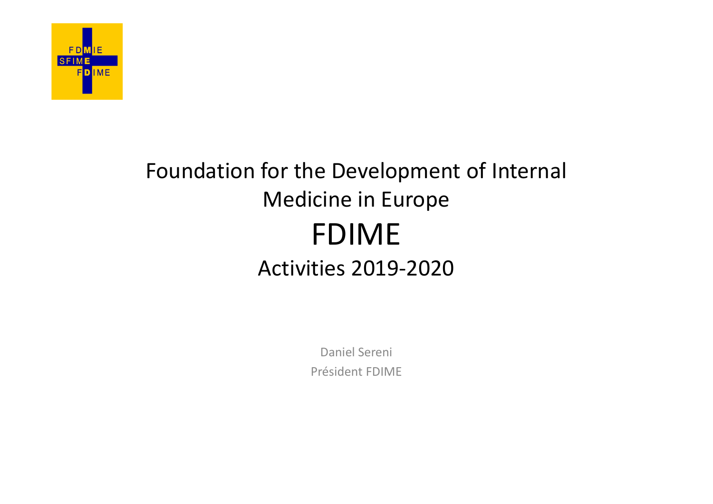

#### Foundation for the Development of Internal Medicine in Europe FDIME Activities 2019-2020

Daniel Sereni Président FDIME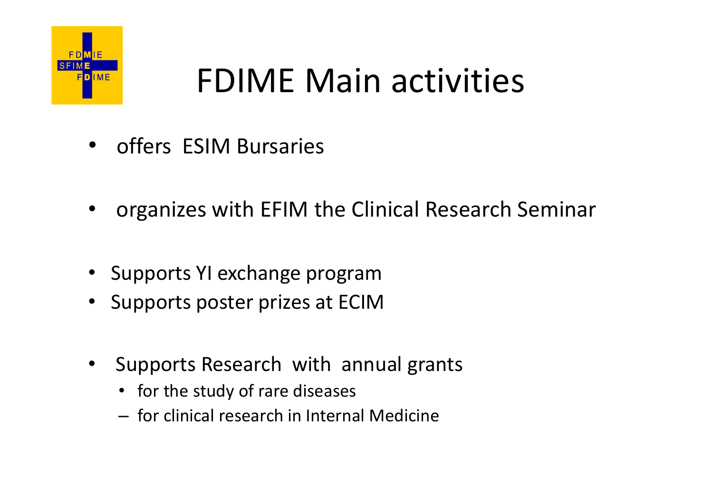

# FDIME Main activities FOIME Main activ FOIME Main activities<br>• offers ESIM Bursaries<br>• organizes with EFIM the Clinical Research Seminar<br>• Supports YLexchange program

- 
- offers ESIM Bursaries<br>• organizes with EFIM the Clinical Research Seminar<br>• Supports YI exchange program<br>• Supports poster prizes at ECIM<br>• Supports Research with annual grants • Organizes with EFIM the Clinical Research Seminar<br>• Supports YI exchange program<br>• Supports poster prizes at ECIM<br>• Supports Research with annual grants<br>• for the study of rare diseases<br>— for clinical research in Interna organizes with EFIM the Clinical Research Seminar<br>• iupports YI exchange program<br>• iupports poster prizes at ECIM<br>• Supports Research with annual grants<br>• for the study of rare diseases<br>– for clinical research in Internal
- Supports YI exchange program
- 
- -
	-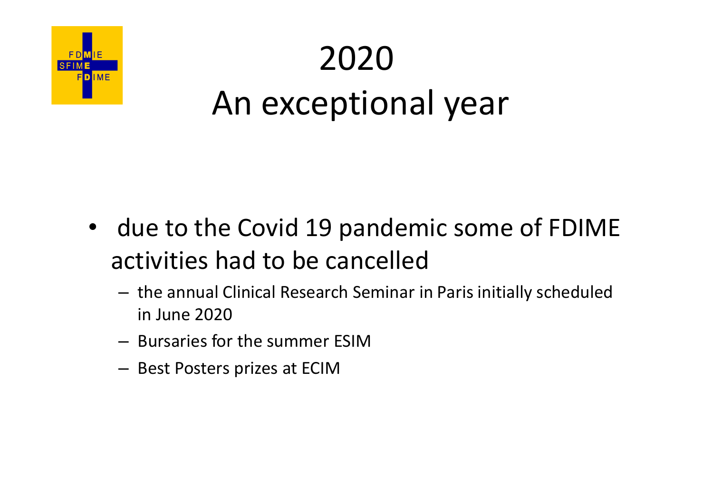

## 2020 An exceptional year

- due to the Covid 19 pandemic some of FDIME activities had to be cancelled
	- the annual Clinical Research Seminar in Paris initially scheduled in June 2020
	- Bursaries for the summer ESIM
	- Best Posters prizes at ECIM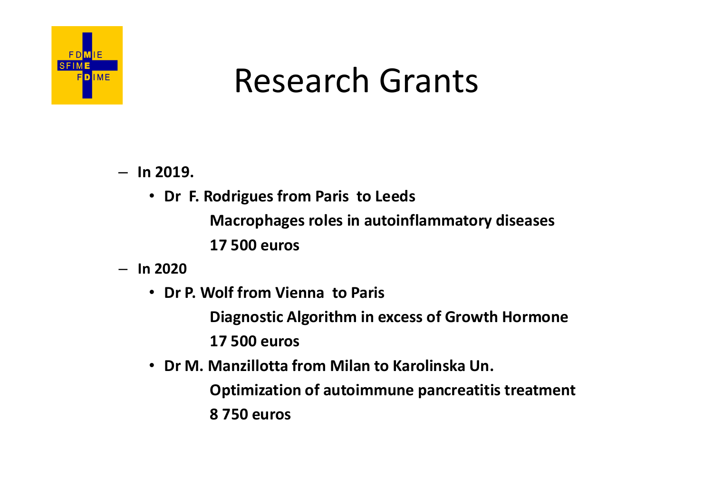

#### Research Grants

- $-$  ln 2019.
	- Dr F. Rodrigues from Paris to Leeds
		- Macrophages roles in autoinflammatory diseases
		- 17 500 euros
- In 2020
	- Dr P. Wolf from Vienna to Paris
- Diagnostic Algorithm in excess of Growth Hormone • Dr F. Rodrigues from Paris to Leeds<br>• Macrophages roles in autoinflammatory diseases<br>17 500 euros<br>• Dr P. Wolf from Vienna to Paris<br>• Diagnostic Algorithm in excess of Growth Hormone<br>17 500 euros<br>• Dr M. Manzillotta from
	- 17 500 euros
	- - Optimization of autoimmune pancreatitis treatment
		- 8 750 euros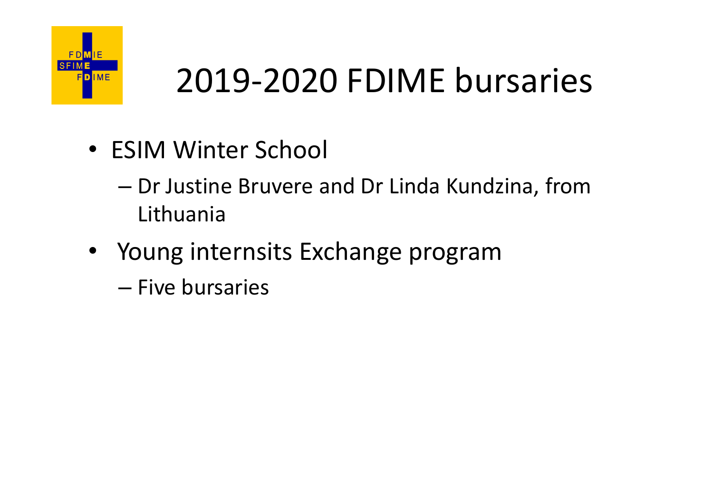

### 2019-2020 FDIME bursaries

- ESIM Winter School
- 2019-2020 FDIME bursaries<br>ESIM Winter School<br>- Dr Justine Bruvere and Dr Linda Kundzina, from<br>Lithuania<br>Young internsits Exchange program Lithuania **PREASE 1999-2020 FDIME bursarie**<br>• ESIM Winter School<br>– Dr Justine Bruvere and Dr Linda Kundzina, from<br>Lithuania<br>• Young internsits Exchange program<br>– Five bursaries
- -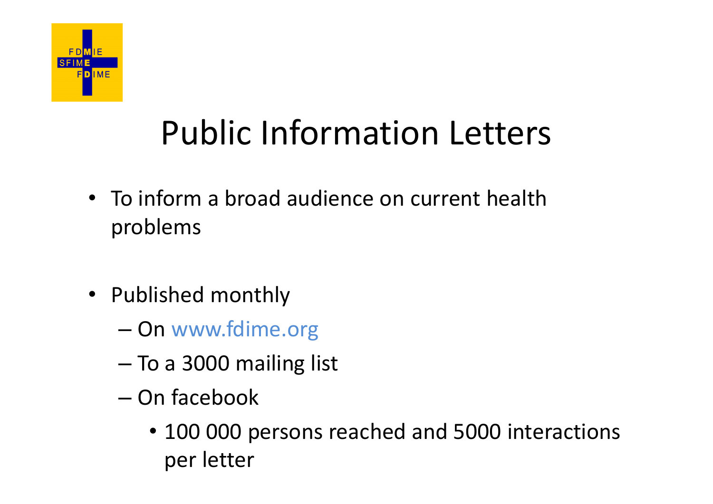

#### Public Information Letters

- To inform a broad audience on current health problems
- Published monthly
	- On www.fdime.org
	- To a 3000 mailing list
	- On facebook
		- 100 000 persons reached and 5000 interactions per letter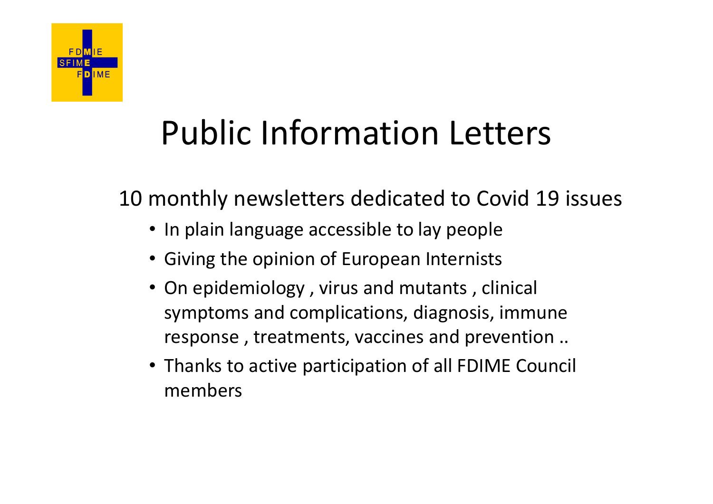

#### Public Information Letters

10 monthly newsletters dedicated to Covid 19 issues

- In plain language accessible to lay people
- Giving the opinion of European Internists
- On epidemiology , virus and mutants , clinical symptoms and complications, diagnosis, immune response , treatments, vaccines and prevention ..
- Thanks to active participation of all FDIME Council members